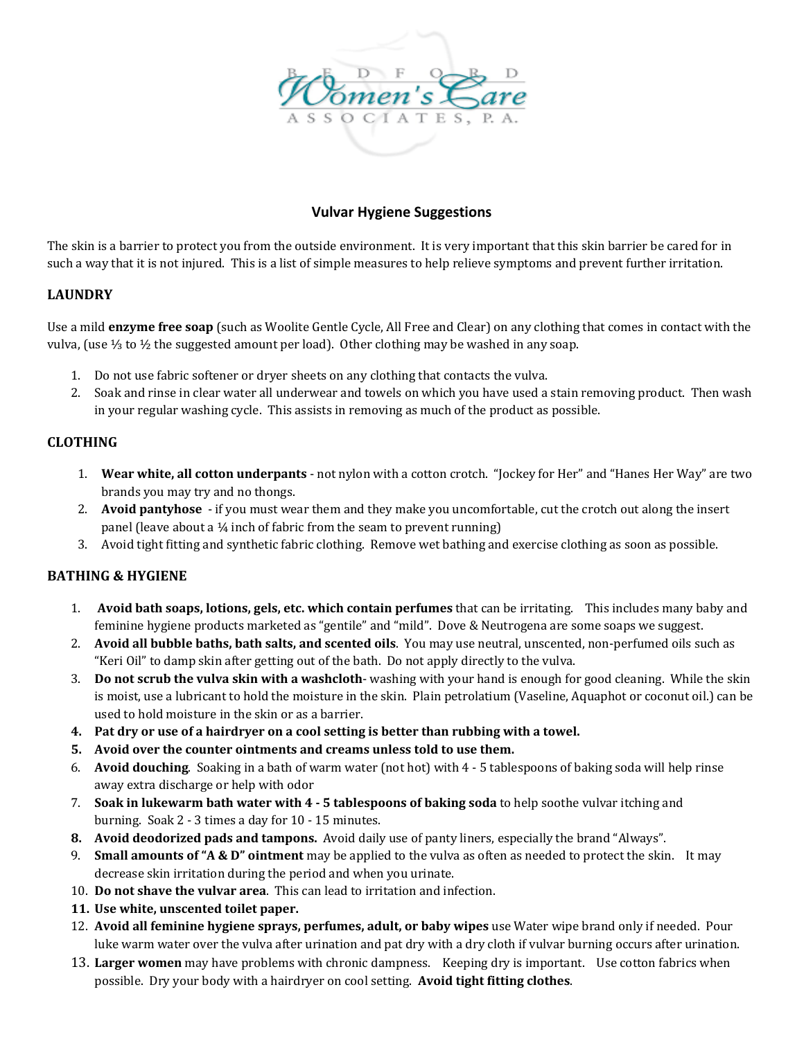

# **Vulvar Hygiene Suggestions**

The skin is a barrier to protect you from the outside environment. It is very important that this skin barrier be cared for in such a way that it is not injured. This is a list of simple measures to help relieve symptoms and prevent further irritation.

# **LAUNDRY**

Use a mild **enzyme free soap** (such as Woolite Gentle Cycle, All Free and Clear) on any clothing that comes in contact with the vulva, (use ⅓ to ½ the suggested amount per load). Other clothing may be washed in any soap.

- 1. Do not use fabric softener or dryer sheets on any clothing that contacts the vulva.
- 2. Soak and rinse in clear water all underwear and towels on which you have used a stain removing product. Then wash in your regular washing cycle. This assists in removing as much of the product as possible.

### **CLOTHING**

- 1. **Wear white, all cotton underpants** ‐ not nylon with a cotton crotch. "Jockey for Her" and "Hanes Her Way" are two brands you may try and no thongs.
- 2. **Avoid pantyhose** ‐ if you must wear them and they make you uncomfortable, cut the crotch out along the insert panel (leave about a ¼ inch of fabric from the seam to prevent running)
- 3. Avoid tight fitting and synthetic fabric clothing. Remove wet bathing and exercise clothing as soon as possible.

### **BATHING & HYGIENE**

- 1. **Avoid bath soaps, lotions, gels, etc. which contain perfumes** that can be irritating. This includes many baby and feminine hygiene products marketed as "gentile" and "mild". Dove & Neutrogena are some soaps we suggest.
- 2. **Avoid all bubble baths, bath salts, and scented oils**. You may use neutral, unscented, non‐perfumed oils such as "Keri Oil" to damp skin after getting out of the bath. Do not apply directly to the vulva.
- 3. **Do not scrub the vulva skin with a washcloth**‐ washing with your hand is enough for good cleaning. While the skin is moist, use a lubricant to hold the moisture in the skin. Plain petrolatium (Vaseline, Aquaphot or coconut oil.) can be used to hold moisture in the skin or as a barrier.
- **4. Pat dry or use of a hairdryer on a cool setting is better than rubbing with a towel.**
- **5. Avoid over the counter ointments and creams unless told to use them.**
- 6. **Avoid douching**. Soaking in a bath of warm water (not hot) with 4 ‐ 5 tablespoons of baking soda will help rinse away extra discharge or help with odor
- 7. **Soak in lukewarm bath water with 4 ‐ 5 tablespoons of baking soda** to help soothe vulvar itching and burning. Soak 2 ‐ 3 times a day for 10 ‐ 15 minutes.
- **8. Avoid deodorized pads and tampons.** Avoid daily use of panty liners, especially the brand "Always".
- 9. **Small amounts of "A & D" ointment** may be applied to the vulva as often as needed to protect the skin. It may decrease skin irritation during the period and when you urinate.
- 10. **Do not shave the vulvar area**. This can lead to irritation and infection.
- **11. Use white, unscented toilet paper.**
- 12. **Avoid all feminine hygiene sprays, perfumes, adult, or baby wipes** use Water wipe brand only if needed. Pour luke warm water over the vulva after urination and pat dry with a dry cloth if vulvar burning occurs after urination.
- 13. **Larger women** may have problems with chronic dampness. Keeping dry is important. Use cotton fabrics when possible. Dry your body with a hairdryer on cool setting. **Avoid tight fitting clothes**.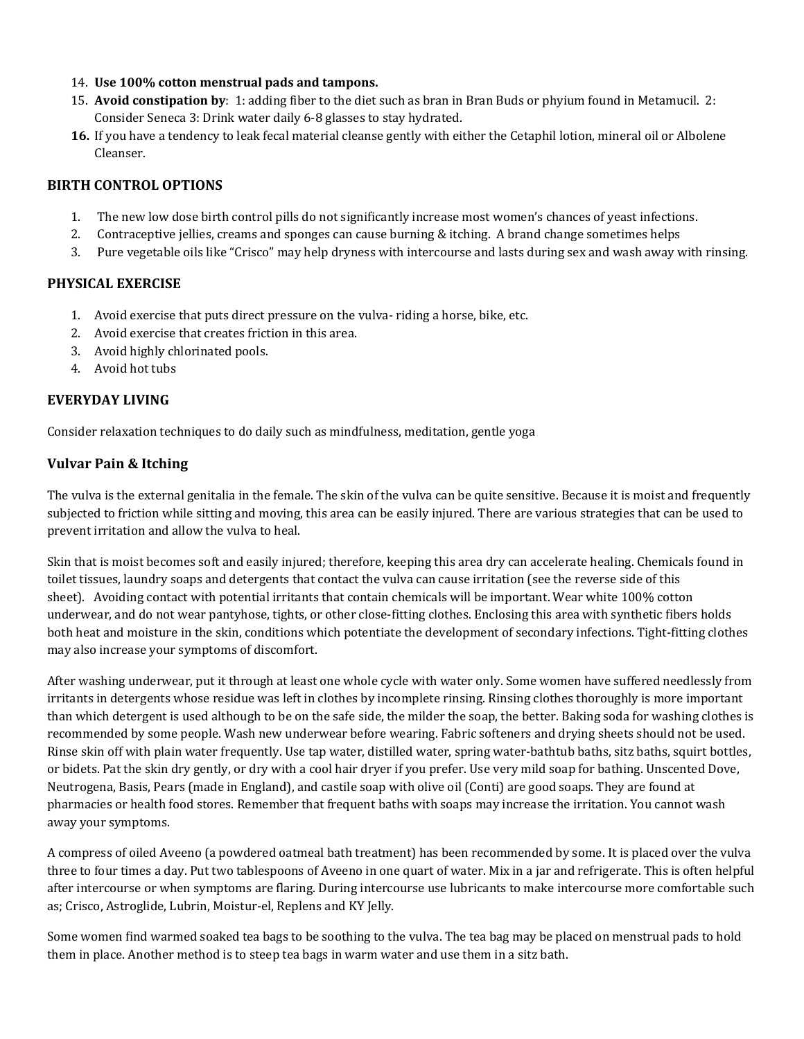- 14. **Use 100% cotton menstrual pads and tampons.**
- 15. **Avoid constipation by**: 1: adding fiber to the diet such as bran in Bran Buds or phyium found in Metamucil. 2: Consider Seneca 3: Drink water daily 6-8 glasses to stay hydrated.
- **16.** If you have a tendency to leak fecal material cleanse gently with either the Cetaphil lotion, mineral oil or Albolene Cleanser.

### **BIRTH CONTROL OPTIONS**

- 1. The new low dose birth control pills do not significantly increase most women's chances of yeast infections.
- 2. Contraceptive jellies, creams and sponges can cause burning & itching. A brand change sometimes helps
- 3. Pure vegetable oils like "Crisco" may help dryness with intercourse and lasts during sex and wash away with rinsing.

# **PHYSICAL EXERCISE**

- 1. Avoid exercise that puts direct pressure on the vulva- riding a horse, bike, etc.
- 2. Avoid exercise that creates friction in this area.
- 3. Avoid highly chlorinated pools.
- 4. Avoid hot tubs

# **EVERYDAY LIVING**

Consider relaxation techniques to do daily such as mindfulness, meditation, gentle yoga

# **Vulvar Pain & Itching**

The vulva is the external genitalia in the female. The skin of the vulva can be quite sensitive. Because it is moist and frequently subjected to friction while sitting and moving, this area can be easily injured. There are various strategies that can be used to prevent irritation and allow the vulva to heal.

Skin that is moist becomes soft and easily injured; therefore, keeping this area dry can accelerate healing. Chemicals found in toilet tissues, laundry soaps and detergents that contact the vulva can cause irritation (see the reverse side of this sheet). Avoiding contact with potential irritants that contain chemicals will be important. Wear white 100% cotton underwear, and do not wear pantyhose, tights, or other close-fitting clothes. Enclosing this area with synthetic fibers holds both heat and moisture in the skin, conditions which potentiate the development of secondary infections. Tight-fitting clothes may also increase your symptoms of discomfort.

After washing underwear, put it through at least one whole cycle with water only. Some women have suffered needlessly from irritants in detergents whose residue was left in clothes by incomplete rinsing. Rinsing clothes thoroughly is more important than which detergent is used although to be on the safe side, the milder the soap, the better. Baking soda for washing clothes is recommended by some people. Wash new underwear before wearing. Fabric softeners and drying sheets should not be used. Rinse skin off with plain water frequently. Use tap water, distilled water, spring water-bathtub baths, sitz baths, squirt bottles, or bidets. Pat the skin dry gently, or dry with a cool hair dryer if you prefer. Use very mild soap for bathing. Unscented Dove, Neutrogena, Basis, Pears (made in England), and castile soap with olive oil (Conti) are good soaps. They are found at pharmacies or health food stores. Remember that frequent baths with soaps may increase the irritation. You cannot wash away your symptoms.

A compress of oiled Aveeno (a powdered oatmeal bath treatment) has been recommended by some. It is placed over the vulva three to four times a day. Put two tablespoons of Aveeno in one quart of water. Mix in a jar and refrigerate. This is often helpful after intercourse or when symptoms are flaring. During intercourse use lubricants to make intercourse more comfortable such as; Crisco, Astroglide, Lubrin, Moistur-el, Replens and KY Jelly.

Some women find warmed soaked tea bags to be soothing to the vulva. The tea bag may be placed on menstrual pads to hold them in place. Another method is to steep tea bags in warm water and use them in a sitz bath.